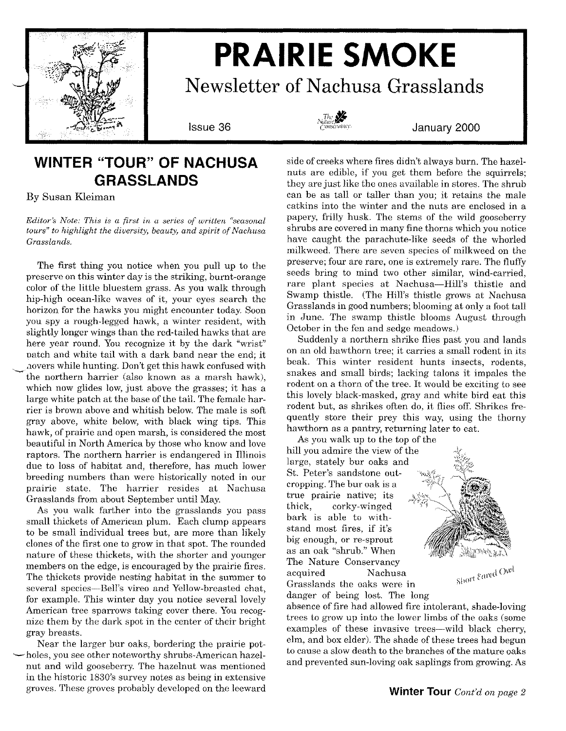

# **PRAIRIE SMOKE**

**Newsletter of Nachusa Grasslands**



**Issue 36 January 2000**

### **WINTER "TOUR" OF NACHUSA GRASSLANDS**

By Susan Kleiman

*Editor's Note: This is a first in a series of written "seasonal tours" to highlight the diversity, beauty, and spirit of Nachusa Grasslands.*

The first thing you notice when you pull up to the preserve on this winter day is the striking, burnt-orange color of the little bluestem grass. As you walk through hip-high ocean-like waves of it, your eyes search the horizon for the hawks you might encounter today. Soon you spy a rough-legged hawk, a winter resident, with slightly longer wings than the red-tailed hawks that are here year round. You recognize it by the dark "wrist" patch and white tail with a dark band near the end: it have a while hunting. Don't get this hawk confused with the northern harrier (also known as a marsh hawk), which now glides low, just above the grasses; it has a large white patch at the base of the tail. The female harrier is brown above and whitish below.The male is soft gray above, white below, with black wing tips. This hawk, of prairie and open marsh, is considered the most beautiful in North America by those who know and love raptors. The northern harrier is endangered in Illinois due to loss of habitat and, therefore, has much lower breeding numbers than were historically noted in our prairie state. The harrier resides at Nachusa Grasslands from about September until May.

As you walk farther into the grasslands you pass small thickets of American plum. Each clump appears to be small individual trees but, are more than likely clones of the first one to grow in that spot. The rounded nature of these thickets, with the shorter and younger members on the edge, is encouraged by the prairie fires. The thickets provide nesting habitat in the summer to several species-Bell's vireo and Yellow-breasted chat. for example. This winter day you notice several lovely American tree sparrows taking cover there. You recognize them by the dark spot in the center of their bright gray breasts.

Near the larger bur oaks, bordering the prairie pot holes, you see other noteworthy shrubs-American hazelnut and wild gooseberry. The hazelnut was mentioned in the historic 1830's survey notes as being in extensive groves. These groves probably developed on the leeward

side of creeks where fires didn't always burn. The hazelnuts are edible, if you get them before the squirrels; they are just like the ones available in stores. The shrub can be as tall or taller than you; it retains the male catkins into the winter and the nuts are enclosed in a papery, frilly husk. The stems of the wild gooseberry shrubs are covered in many fine thorns which you notice have caught the parachute-like seeds of the whorled milkweed. There are seven species of milkweed on the preserve; four are rare, one is extremely rare. The fluffy seeds bring to mind two other similar, wind-carried, rare plant species at Nachusa-Hill's thistle and Swamp thistle. (The Hill's thistle grows at Nachusa Grasslands in good numbers; blooming at only a foot tall in June. The swamp thistle blooms August through October in the fen and sedge meadows.)

Suddenly a northern shrike flies past you and lands on an old hawthorn tree; it carries a small rodent in its beak. This winter resident hunts insects, rodents, snakes and small birds; lacking talons it impales the rodent on a thorn of the tree. It would be exciting to see this lovely black-masked, gray and white bird eat this rodent but, as shrikes often do, it flies off. Shrikes frequently store their prey this way, using the thorny hawthorn as a pantry, returning later to eat.

As you walk up to the top of the hill you admire the view of the large, stately bur oaks and St. Peter's sandstone outcropping. The bur oak is a true prairie native; its thick, corky-winged bark is able to withstand most fires, if it's big enough, or re-sprout as an oak "shrub." When The Nature Conservancy acquired Nachusa Grasslands the oaks were in



danger of being lost. The long absence of fire had allowed fire intolerant, shade-loving trees to grow up into the lower limbs of the oaks (some examples of these invasive trees—wild black cherry, elm, and box elder). The shade of these trees had begun to cause a slow death to the branches of the mature oaks and prevented sun-loving oak saplings from growing.As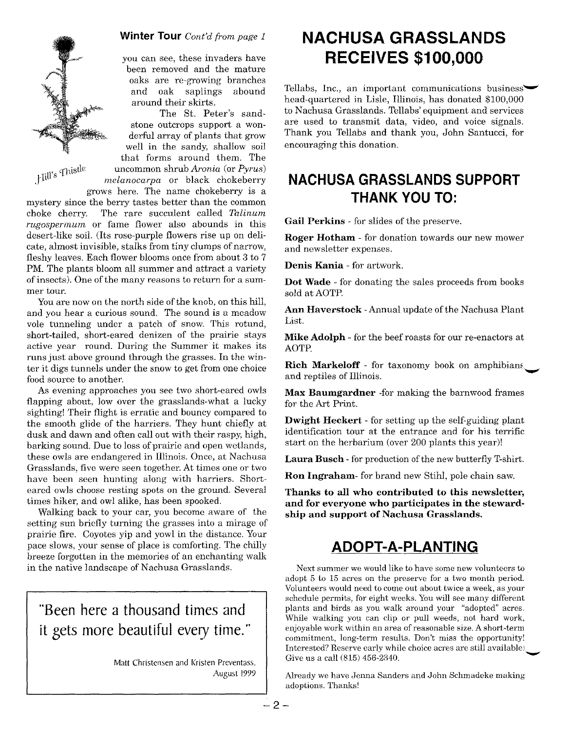

**Winter Tour** *Cont'd from page 1*

you can see, these invaders have been removed and the mature oaks are re-growing branches and oak saplings abound around their skirts.

The St. Peter's sandstone outcrops support a wonderful array of plants that grow well in the sandy, shallow soil that forms around them. The <sup>11</sup> istle uncommon shrub *Aronia* (or *Pyrus)* ,Inn's <sup>1</sup> *melanocarpa* or black chokeberry grows here. The name chokeberry is a

mystery since the berry tastes better than the common choke cherry. The rare succulent called *Talinum rugospermum* or fame flower also abounds in this desert-like soil. (Its rose-purple flowers rise up on delicate, almost invisible, stalks from tiny clumps of narrow, fleshy leaves. Each flower blooms once from about 3 to 7 PM. The plants bloom all summer and attract a variety of insects). One of the many reasons to return for a summer tour.

You are now on the north side of the knob, on this hill, and you hear a curious sound. The sound is a meadow vole tunneling under a patch of snow. This rotund, short-tailed, short-eared denizen of the prairie stays active year round. During the Summer it makes its runs just above ground through the grasses. In the winter it digs tunnels under the snow to get from one choice food source to another.

As evening approaches you see two short-eared owls flapping about, low over the grasslands-what a lucky sighting! Their flight is erratic and bouncy compared to the smooth glide of the harriers. They hunt chiefly at dusk and dawn and often call out with their raspy, high, barking sound. Due to loss of prairie and open wetlands, these owls are endangered in Illinois. Once, at Nachusa Grasslands, five were seen together. At times one or two have been seen hunting along with harriers. Shorteared owls choose resting spots on the ground. Several times hiker, and owl alike, has been spooked.

Walking back to your car, you become aware of the setting sun briefly turning the grasses into a mirage of prairie fire. Coyotes yip and yowl in the distance. Your pace slows, your sense of place is comforting. The chilly breeze forgotten in the memories of an enchanting walk in the native landscape of Nachusa Grasslands.

**"Been here a thousand times and it gets more beautiful every time."**

> Matt Christensen and Kristen Preventass. August 1999

# **NACHUSA GRASSLANDS RECEIVES \$100,000**

Tellabs, Inc., an important communications business $\blacktriangleright$ head-quartered in Lisle, Illinois, has donated \$100,000 to Nachusa Grasslands. Tellabs' equipment and services are used to transmit data, video, and voice signals. Thank you Tellabs and thank you, John Santucci, for encouraging this donation.

### **NACHUSA GRASSLANDS SUPPORT THANK YOU TO:**

**Gail Perkins -** for slides of the preserve.

**Roger Hotham -** for donation towards our new mower and newsletter expenses.

**Denis Kania -** for artwork.

**Dot Wade -** for donating the sales proceeds from books sold at AOTP.

Ann **Haverstock** - Annual update of the Nachusa Plant List.

**Mike Adolph -** for the beef roasts for our re-enactors at AOTP.

**Rich Markeloff -** for taxonomy book on amphibians and reptiles of Illinois.

**Max Baumgardner** -for making the barnwood frames for the Art Print.

**Dwight Heckert -** for setting up the self-guiding plant identification tour at the entrance and for his terrific start on the herbarium (over 200 plants this year)!

Laura Busch - for production of the new butterfly T-shirt.

**Ron Ingraham-** for brand new Stihl, pole chain saw.

**Thanks to all who contributed to this newsletter, and for everyone who participates in the stewardship and support of Nachusa Grasslands.**

### **ADOPT-A-PLANTING**

Next summer we would like to have some new volunteers to adopt 5 to 15 acres on the preserve for a two month period. Volunteers would need to come out about twice a week, as your schedule permits, for eight weeks. Youwill see many different plants and birds as you walk around your "adopted" acres. While walking you can clip or pull weeds, not hard work, enjoyable work within an area of reasonable size. A short-term commitment, long-term results. Don't miss the opportunity! Interested? Reserve early while choice acres are still available.<br>Give us a call (815) 456-2340.

Already we have Jenna Sanders and John Schmadeke making adoptions. Thanks!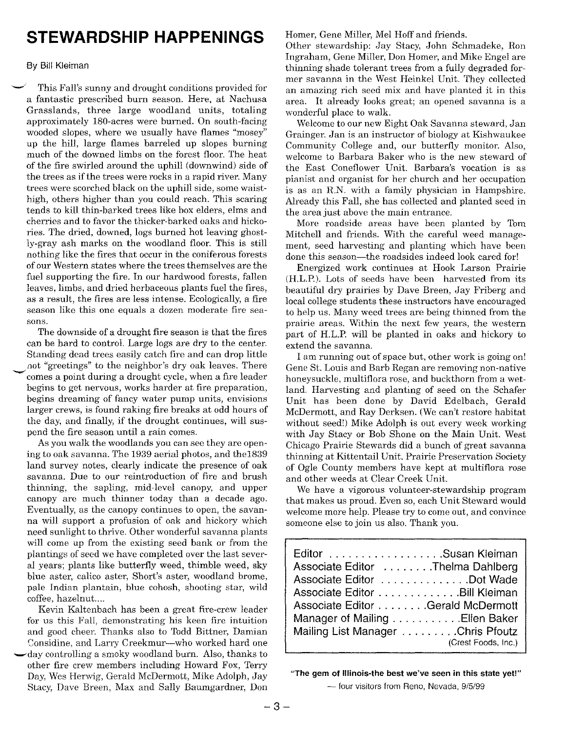# **STEWARDSHIP HAPPENINGS**

#### By Bill Kleiman

This Fall's sunny and drought conditions provided for a fantastic prescribed burn season. Here, at Nachusa Grasslands, three large woodland units, totaling approximately lS0-acres were burned. On south-facing wooded slopes, where we usually have flames "mosey" up the hill, large flames barreled up slopes burning much of the downed limbs on the forest floor. The heat of the fire swirled around the uphill (downwind) side of the trees as if the trees were rocks in a rapid river. Many trees were scorched black on the uphill side, some waisthigh, others higher than you could reach. This scaring tends to kill thin-barked trees like box elders, elms and cherries and to favor the thicker-barked oaks and hickories. The dried, downed, logs burned hot leaving ghostly-gray ash marks on the woodland floor. This is still nothing like the fires that occur in the coniferous forests of our Western states where the trees themselves are the fuel supporting the fire. In our hardwood forests, fallen leaves, limbs, and dried herbaceous plants fuel the fires, as a result, the fires are less intense. Ecologically, a fire season like this one equals a dozen moderate fire seasons.

The downside of a drought fire season is that the fires can be hard to control. Large logs are dry to the center. Standing dead trees easily catch fire and can drop little not "greetings" to the neighbor's dry oak leaves. There comes a point during a drought cycle, when a fire leader begins to get nervous, works harder at fire preparation, begins dreaming of fancy water pump units, envisions larger crews, is found raking fire breaks at odd hours of the day, and finally, if the drought continues, will suspend the fire season until a rain comes.

As you walk the woodlands you can see they are opening to oak savanna. The 1939 aerial photos, and the1S39 land survey notes, clearly indicate the presence of oak savanna. Due to our reintroduction of fire and brush thinning, the sapling, mid-level canopy, and upper canopy are much thinner today than a decade ago. Eventually, as the canopy continues to open, the savanna will support a profusion of oak and hickory which need sunlight to thrive. Other wonderful savanna plants will come up from the existing seed bank or from the plantings of seed we have completed over the last several years; plants like butterfly weed, thimble weed, sky blue aster, calico aster, Short's aster, woodland brome, pale Indian plantain, blue cohosh, shooting star, wild coffee, hazelnut....

Kevin Kaltenbach has been a great fire-crew leader for us this Fall, demonstrating his keen fire intuition and good cheer. Thanks also to Todd Bittner, Damian Considine, and Larry Creekmur-who worked hard one -day controlling a smoky woodland burn. Also, thanks to other fire crew members including Howard Fox, Terry Day, Wes Herwig, Gerald McDermott, Mike Adolph, Jay Stacy, Dave Breen, Max and Sally Baumgardner, Don

Homer, Gene Miller, Mel Hoff and friends.

Other stewardship: Jay Stacy, John Schmadeke, Ron Ingraham, Gene Miller, Don Homer, and Mike Engel are thinning shade tolerant trees from a fully degraded former savanna in the West Heinkel Unit. They collected an amazing rich seed mix and have planted it in this area. It already looks great; an opened savanna is a wonderful place to walk.

Welcome to our new Eight Oak Savanna steward, Jan Grainger. Jan is an instructor of biology at Kishwaukee Community College and, our butterfly monitor. Also, welcome to Barbara Baker who is the new steward of the East Coneflower Unit. Barbara's vocation is as pianist and organist for her church and her occupation is as an R.N. with a family physician in Hampshire. Already this Fall, she has collected and planted seed in the area just above the main entrance.

More roadside areas have been planted by Tom Mitchell and friends. With the careful weed management, seed harvesting and planting which have been done this season-the roadsides indeed look cared for!

Energized work continues at Hook Larson Prairie (H.L.P.). Lots of seeds have been harvested from its beautiful dry prairies by Dave Breen, Jay Friberg and local college students these instructors have encouraged to help us. Many weed trees are being thinned from the prairie areas. Within the next few years, the western part of H.L.P. will be planted in oaks and hickory to extend the savanna.

I am running out of space but, other work is going on! Gene St. Louis and Barb Regan are removing non-native honeysuckle, multiflora rose, and buckthorn from a wetland. Harvesting and planting of seed on the Schafer Unit has been done by David Edelbach, Gerald McDermott, and Ray Derksen. (We can't restore habitat without seed!) Mike Adolph is out every week working with Jay Stacy or Bob Shone on the Main Unit. West Chicago Prairie Stewards did a bunch of great savanna thinning at Kittentail Unit. Prairie Preservation Society of Ogle County members have kept at multiflora rose and other weeds at Clear Creek Unit.

We have a vigorous volunteer-stewardship program that makes us proud. Even so, each Unit Steward would welcome more help. Please try to come out, and convince someone else to join us also. Thank you.

<sup>&</sup>quot;The gem of Illinois-the best we've seen in this state yet!"

- four visitors from Reno, Nevada, *9/5/99*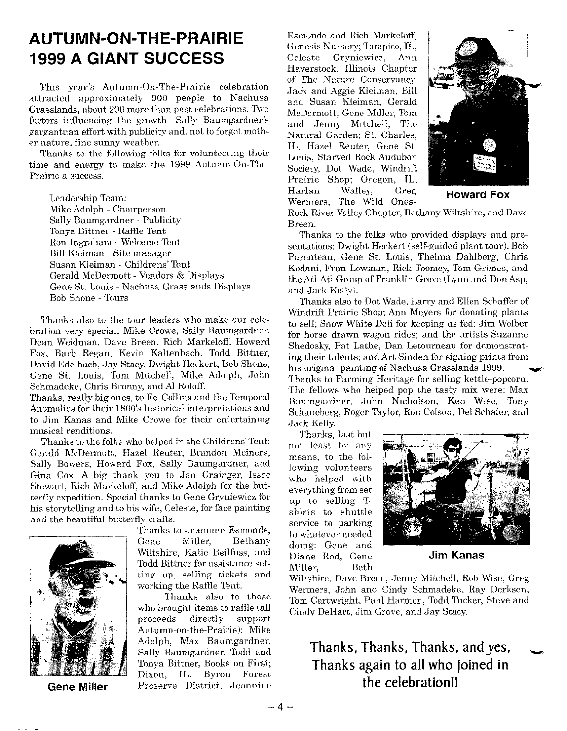# **AUTUMN-ON-THE-PRAIRIE 1999 A GIANT SUCCESS**

This year's Autumn-On- The-Prairie celebration attracted approximately 900 people to Nachusa Grasslands, about 200 more than past celebrations. Two factors influencing the growth-Sally Baumgardner's gargantuan effort with publicity and, not to forget mother nature, fine sunny weather.

Thanks to the following folks for volunteering their time and energy to make the 1999 Autumn-On-The-Prairie a success.

Leadership Team: Mike Adolph - Chairperson Sally Baumgardner - Publicity Tonya Bittner - Raffle Tent Ron Ingraham - Welcome Tent Bill Kleiman - Site manager Susan Kleiman - Childrens' Tent Gerald McDermott - Vendors & Displays Gene St. Louis - Nachusa Grasslands Displays Bob Shone - Tours

Thanks also to the tour leaders who make our celebration very special: Mike Crowe, Sally Baumgardner, Dean Weidman, Dave Breen, Rich Markeloff, Howard Fox, Barb Regan, Kevin Kaltenbach, Todd Bittner, David Edelbach, Jay Stacy, Dwight Heckert, Bob Shone, Gene St. Louis, Tom Mitchell, Mike Adolph, John Schmadeke, Chris Bronny, and Al Roloff.

Thanks, really big ones, to Ed Collins and the Temporal Anomalies for their 1800's historical interpretations and to Jim Kanas and Mike Crowe for their entertaining musical renditions.

Thanks to the folks who helped in the Childrens' Tent: Gerald McDermott, Hazel Reuter, Brandon Meiners, Sally Bowers, Howard Fox, Sally Baumgardner, and Gina Cox. A big thank you to Jan Grainger, Issac Stewart, Rich Markeloff, and Mike Adolph for the butterfly expedition. Special thanks to Gene Gryniewicz for his storytelling and to his wife, Celeste, for face painting and the beautiful butterfly crafts.



Thanks to Jeannine Esmonde, Gene Miller, Bethany Wiltshire, Katie Beilfuss, and Todd Bittner for assistance setting up, selling tickets and working the Raffle Tent.

Thanks also to those who brought items to raffle (all proceeds directly support Autumn-on-the-Prairie): Mike Adolph, Max Baumgardner, Sally Baumgardner, Todd and Tonya Bittner, Books on First; Dixon, IL, Byron Forest **Gene Miller** Preserve District, Jeannine

Esmonde and Rich Markeloff, Genesis Nursery; Tampico, IL, Celeste Gryniewicz, Ann Haverstock, Illinois Chapter of The Nature Conservancy, Jack and Aggie Kleiman, Bill and Susan Kleiman, Gerald McDermott, Gene Miller, Tom and Jenny Mitchell, The Natural Garden; St. Charles, IL, Hazel Reuter, Gene St. Louis, Starved Rock Audubon Society, Dot Wade, Windrift Prairie Shop; Oregon, IL, Harlan Walley, Greg **Howard Fox** Wermers, The Wild Ones-



Rock River Valley Chapter, Bethany Wiltshire, and Dave Breen.

Thanks to the folks who provided displays and presentations: Dwight Heckert (self-guided plant tour), Bob Parenteau, Gene St. Louis, Thelma Dahlberg, Chris Kodani, Fran Lowman, Rick Toomey, Tom Grimes, and the Atl-Atl Group of Franklin Grove (Lynn and DonAsp, and Jack Kelly).

Thanks also to Dot Wade, Larry and Ellen Schaffer of Windrift Prairie Shop; Ann Meyers for donating plants to sell' Snow White Deli for keeping us fed; Jim Wolber for horse drawn wagon rides; and the artists-Suzanne Shedosky, Pat Lathe, Dan Letourneau for demonstrating their talents; and Art Sinden for signing prints from his original painting of Nachusa Grasslands 1999. Thanks to Farming Heritage for selling kettle-popcorn. The fellows who helped pop the tasty mix were: Max Baumgardner, John Nicholson, Ken Wise, Tony Schaneberg, Roger Taylor, Ron Colson, Del Schafer, and Jack Kelly.

Thanks, last but not least by any means, to the following volunteers who helped with everything from set up to selling Tshirts to shuttle service to parking to whatever needed doing: Gene and Diane Rod, Gene **Jim Kanas** Miller, Beth



Wiltshire, Dave Breen, Jenny Mitchell, Rob Wise, Greg Wermers, John and Cindy Schmadeke, Ray Derksen, Tom Cartwright, Paul Harmon, Todd Tucker, Steve and Cindy DeHart, Jim Grove, and Jay Stacy.

**Thanks, Thanks, Thanks, and yes, Thanks again to all who joined in the** celebration II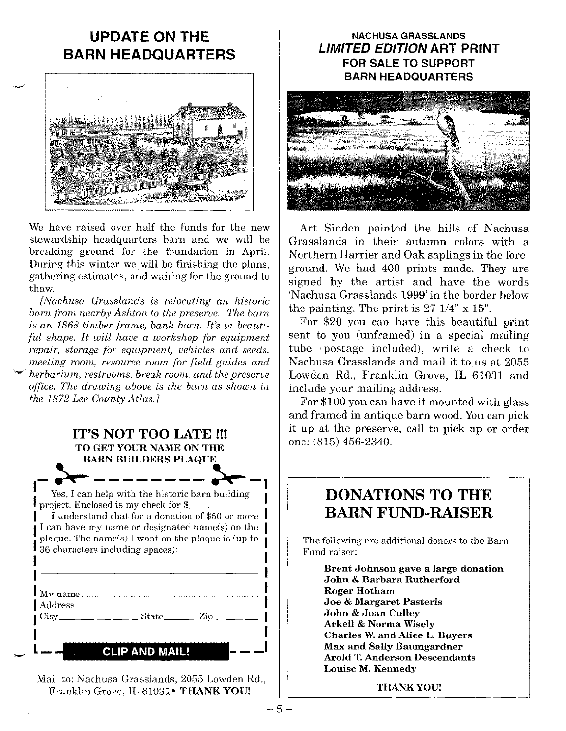# **UPDATE ON THE BARN HEADQUARTERS**



We have raised over half the funds for the new stewardship headquarters barn and we will be breaking ground for the foundation in April. During this winter we will be finishing the plans, gathering estimates, and waiting for the ground to thaw.

*[Nachusa Grasslands is relocating an historic barn from nearby Ashton to the preserve. The barn is an* 1868 *timber frame, bank barn. It's in beautiful shape. It will have a workshop for equipment repair, storage for equipment, vehicles and seeds, meeting room, resource room for field guides and ~ herbarium, restrooms, break room, and the preserve office. The drawing above is the barn as shown in the* 1872 *Lee County Atlas.}*

## **IT'S NOT TOO LATE H!** TO GET YOUR NAME ON THE BARN BUILDERS PLAQUE  $\begin{array}{c} \bullet \ \bullet \ \bullet \ \bullet \ \bullet \ \bullet \ \bullet \ \end{array}$   $\begin{array}{c} \bullet \ \bullet \ \bullet \ \bullet \ \bullet \end{array}$ <br>Yes, I can help with the historic barn building project. Enclosed is my check for \$\_ I understand that for a donation of \$50 or more I can have my name or designated name(s) on the plaque. The name(s) I want on the plaque is (up to 36 characters including spaces):  $\blacksquare$  My name  $\blacksquare$ Address \_  $City$  State  $\qquad \qquad$  State  $\qquad \qquad$  Zip

### **CLIP AND MAIL!**

-

Mail to: Nachusa Grasslands, 2055 Lowden Rd., Franklin Grove, IL 61031 . THANK YOU!

### **NACHUSA GRASSLANDS** *LIMITED EDITION* **ART PRINT FOR SALE TO SUPPORT** BARN HEADQUARTERS



Art Sinden painted the hills of Nachusa Grasslands in their autumn colors with a Northern Harrier and Oak saplings in the foreground. We had 400 prints made. They are signed by the artist and have the words 'Nachusa Grasslands 1999'in the border below the painting. The print is  $27 \frac{1}{4}$ " x  $15$ ".

For \$20 you can have this beautiful print sent to you (unframed) in a special mailing tube (postage included), write a check to Nachusa Grasslands and mail it to us at 2055 Lowden Rd., Franklin Grove, IL 61031 and include your mailing address.

For \$100 you can have it mounted with glass and framed in antique barn wood.Youcan pick it up at the preserve, call to pick up or order one: (815) 456-2340.

### **DONATIONS TO THE BARN FUND-RAISER**

The following are additional donors to the Barn Fund-raiser:

Brent Johnson gave a large donation John & Barbara Rutherford Roger Hotham Joe & Margaret Pasteris John & Joan Culley Arkell & Norma Wisely Charles W.and Alice L. Buyers Max and Sally Baumgardner Arold T.Anderson Descendants Louise M. Kennedy

THANKYOUl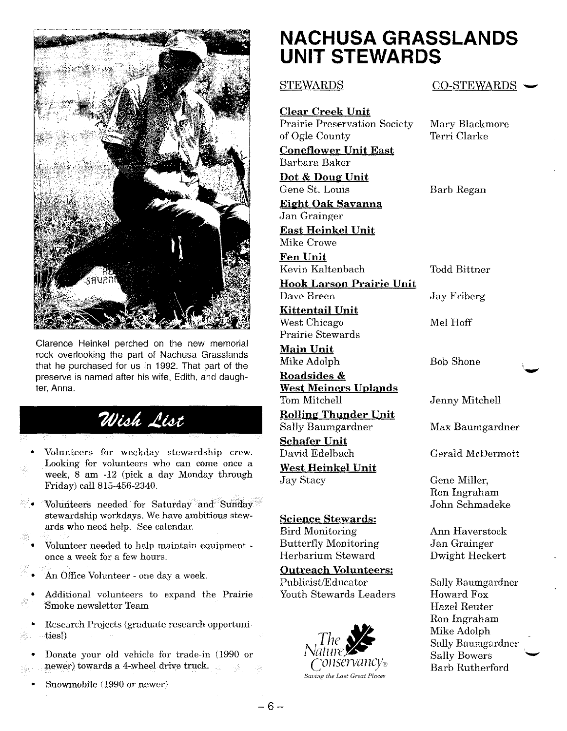

Clarence Heinkel perched on the new memorial rock overlooking the part of Nachusa Grasslands that he purchased for us in 1992. That part of the preserve is named after his wife, Edith, and daughter, Anna.

# Wish List

• Volunteers for weekday stewardship crew. Looking for volunteers who can come once a week, 8 am -12 (pick a day Monday through Friday) call 815-456-2340.

- Volunteers needed for Saturday and Sunday stewardship workdays. We have ambitious stewards who need help. See calendar.
- Volunteer needed to help maintain equipment once a week for a few hours.
- An Office Volunteer one day a week.
- Additional volunteers to expand the Prairie Smoke newsletter Team
- Research Projects (graduate research opportunities!)
- Donate your old vehicle for trade-in (1990 or newer) towards a 4-wheel drive truck. 一幕
	- Snowmobile (1990 or newer)

# **NACHUSA GRASSLANDS UNIT STEWARDS**

#### STEWARDS

**Clear Creek Unit** Prairie Preservation Society of Ogle County **Coneflower Unit East**

Barbara Baker **Dot** & Doug Unit Gene St. Louis

**Eight Oak Savanna**

Jan Grainger **East Heinkel Unit** Mike Crowe

**Fen Unit** Kevin Kaltenbach

**Hook Larson Prairie Unit** Dave Breen

**Kittentail Unit** West Chicago Prairie Stewards

**Main Unit** Mike Adolph

**Roadsides & West Meiners Uplands** Tom Mitchell

**Rolling Thunder Unit** Sally Baumgardner

**Schafer Unit** David Edelbach

**West Heinkel Unit** Jay Stacy

### **Science Stewards:**

Bird Monitoring Butterfly Monitoring Herbarium Steward

#### **Outreach Volunteers:**

Publicist/Educator Youth Stewards Leaders



CO-STEWARDS ~

Mary Blackmore Terri Clarke

Barb Regan

Todd Bittner

Jay Friberg

Mel Hoff

Bob Shone

Jenny Mitchell

Max Baumgardner

.~

Gerald McDermott

Gene Miller, Ron Ingraham John Schmadeke

Ann Haverstock Jan Grainger Dwight Heckert

Sally Baumgardner Howard Fox Hazel Reuter Ron Ingraham Mike Adolph Sally Baumgardner Barb Rutherfor **Sally Bowers** Adolph<br>Baumgardner<br>Bowers<br>Rutherford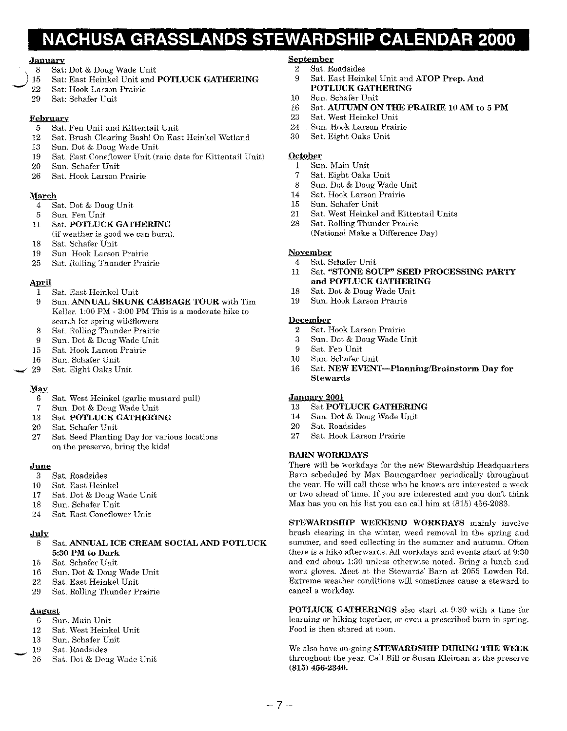# **NACHUSA GRASSLANDS STEWARDSHIP CALENDAR 2000**

#### January

- 8 Sat: Dot & Doug Wade Unit
- 15 Sat: East Heinkel Unit and POTLUCK GATHERING
- 22 Sat: Hook Larson Prairie
- 29 Sat: Schafer Unit

#### **February**

- 5 Sat. Fen Unit and Kittentail Unit
- 12 Sat. Brush Clearing Bash! On East Heinkel Wetland
- 13 Sun. Dot & Doug Wade Unit
- 19 Sat. East Coneflower Unit (rain date for Kittentail Unit)
- 20 Sun. Schafer Unit
- 26 Sat. Hook Larson Prairie

#### March

- 4 Sat. Dot & Doug Unit
- 5 Sun. Fen Unit
- 11 Sat. POTLUCK GATHERING (if weather is good we can burn).
- 18 Sat. Schafer Unit
- 19 Sun. Hook Larson Prairie
- 25 Sat. Rolling Thunder Prairie

#### April

- 1 Sat. East Heinkel Unit 9 Sun. ANNUAL SKUNK CABBAGE TOUR with Tim Keller. 1:00 PM - 3:00 PM This is a moderate hike to
- search for spring wildflowers
- Sat. Rolling Thunder Prairie 8
- Sun. Dot & Doug Wade Unit 9
- Sat. Hook Larson Prairie 15
- Sun. Schafer Unit 16
- Sat. Eight Oaks Unit ~ 29

#### May

- 6 Sat. West Heinkel (garlic mustard pull)
- 7 Sun. Dot & Doug Wade Unit
- 13 Sat. POTLUCK GATHERING
- 20 Sat. Schafer Unit
- 27 Sat. Seed Planting Day for various locations on the preserve, bring the kids!

#### June

- 3 Sat. Roadsides
- 10 Sat. East Heinkel
- 17 Sat. Dot & Doug Wade Unit
- 18 Sun. Schafer Unit
- 24 Sat. East Coneflower Unit

#### July

#### Sat. ANNUAL ICE CREAM SOCIAL AND POTLUCK 5:30 PM to Dark

- 15 Sat. Schafer Unit
- 16 Sun. Dot & Doug Wade Unit
- Sat. East Heinkel Unit
- 29 Sat. Rolling Thunder Prairie

#### August

- 6 Sun. Main Unit
- 12 Sat. West Heinkel Unit
- 13 Sun. Schafer Unit
	- 19 Sat. Roadsides
	- 26 Sat. Dot & Doug Wade Unit

#### September

- 2 Sat. Roadsides<br>9 Sat. East Hein
- Sat. East Heinkel Unit and ATOP Prep. And POTLUCK GATHERING
- 10 Sun. Schafer Unit
- 16 Sat. AUTUMN ON THE PRAIRIE 10 AM to 5 PM
- 23 Sat. West Heinkel Unit
- 24 Sun. Hook Larson Prairie
- 30 Sat. Eight Oaks Unit

#### October

- 1 Sun. Main Unit
- 7 Sat. Eight Oaks Unit
- 8 Sun. Dot & Doug Wade Unit
- 14 Sat. Hook Larson Prairie
- 15 Sun. Schafer Unit
- 21 Sat. West Heinkel and Kittentail Units
- 28 Sat. Rolling Thunder Prairie (National Make a Difference Day)

#### November

- 4 Sat. Schafer Unit
- 11 Sat. "STONE SOUP" SEED PROCESSING PARTY and POTLUCK GATHERING
- 18 Sat. Dot & Doug Wade Unit<br>19 Sun. Hook Larson Prairie
- Sun. Hook Larson Prairie

#### December

- 2 Sat. Hook Larson Prairie
- 3 Sun. Dot & Doug Wade Unit
- Sat. Fen Unit
- 10 Sun. Schafer Unit
- 16 Sat. NEW EVENT-Planning/Brainstorm Day for **Stewards**

#### January 2001

- 13 Sat POTLUCK GATHERING
- 14 Sun. Dot & Doug Wade Unit
- 20 Sat. Roadsides<br>27 Sat. Hook Lars
- Sat. Hook Larson Prairie

#### BARN WORKDAYS

There will be workdays for the new Stewardship Headquarters Barn scheduled by Max Baumgardner periodically throughout the year. He will call those who he knows are interested a week or two ahead of time. If you are interested and you don't think Max has you on his list you can call him at (815) 456-2083.

STEWARDSHIP WEEKEND WORKDAYS mainly involve brush clearing in the winter, weed removal in the spring and summer, and seed collecting in the summer and autumn. Often there is a hike afterwards. All workdays and events start at 9:30 and end about 1:30 unless otherwise noted. Bring a lunch and work gloves. Meet at the Stewards' Barn at 2055 Lowden Rd. Extreme weather conditions will sometimes cause a steward to cancel a workday.

POTLUCK GATHERINGS also start at 9:30 with a time for learning or hiking together, or even a prescribed burn in spring. Food is then shared at noon.

We also have on-going **STEWARDSHIP DURING THE WEEK** throughout the year. Call Bill or Susan Kleiman at the preserve (815) 456-2340.